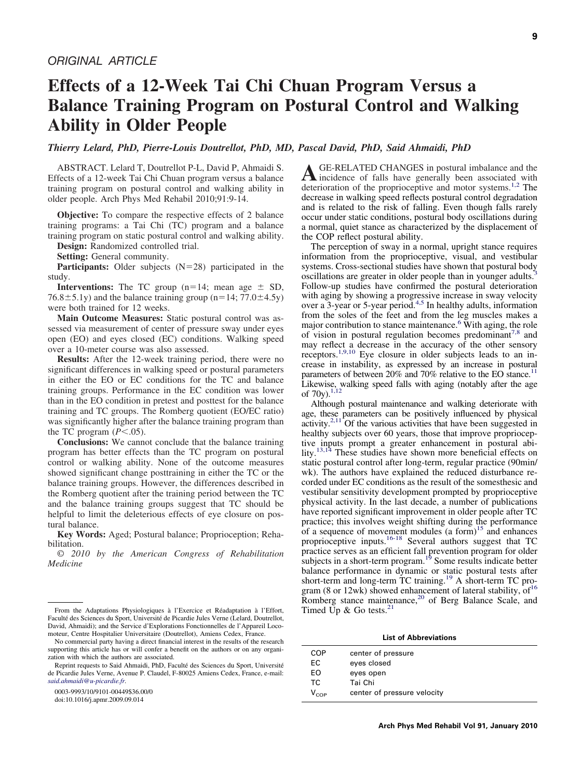# **Effects of a 12-Week Tai Chi Chuan Program Versus a Balance Training Program on Postural Control and Walking Ability in Older People**

*Thierry Lelard, PhD, Pierre-Louis Doutrellot, PhD, MD, Pascal David, PhD, Said Ahmaidi, PhD*

ABSTRACT. Lelard T, Doutrellot P-L, David P, Ahmaidi S. Effects of a 12-week Tai Chi Chuan program versus a balance training program on postural control and walking ability in older people. Arch Phys Med Rehabil 2010;91:9-14.

**Objective:** To compare the respective effects of 2 balance training programs: a Tai Chi (TC) program and a balance training program on static postural control and walking ability.

**Design:** Randomized controlled trial.

**Setting:** General community.

**Participants:** Older subjects  $(N=28)$  participated in the study.

**Interventions:** The TC group  $(n=14;$  mean age  $\pm$  SD, 76.8 $\pm$ 5.1y) and the balance training group (n=14; 77.0 $\pm$ 4.5y) were both trained for 12 weeks.

**Main Outcome Measures:** Static postural control was assessed via measurement of center of pressure sway under eyes open (EO) and eyes closed (EC) conditions. Walking speed over a 10-meter course was also assessed.

**Results:** After the 12-week training period, there were no significant differences in walking speed or postural parameters in either the EO or EC conditions for the TC and balance training groups. Performance in the EC condition was lower than in the EO condition in pretest and posttest for the balance training and TC groups. The Romberg quotient (EO/EC ratio) was significantly higher after the balance training program than the TC program  $(P<.05)$ .

**Conclusions:** We cannot conclude that the balance training program has better effects than the TC program on postural control or walking ability. None of the outcome measures showed significant change posttraining in either the TC or the balance training groups. However, the differences described in the Romberg quotient after the training period between the TC and the balance training groups suggest that TC should be helpful to limit the deleterious effects of eye closure on postural balance.

**Key Words:** Aged; Postural balance; Proprioception; Rehabilitation.

© *2010 by the American Congress of Rehabilitation Medicine*

0003-9993/10/9101-00449\$36.00/0

doi:10.1016/j.apmr.2009.09.014

**A**GE-RELATED CHANGES in postural imbalance and the incidence of falls have generally been associated with deterioration of the proprioceptive and motor systems.<sup>[1,2](#page-4-0)</sup> The decrease in walking speed reflects postural control degradation and is related to the risk of falling. Even though falls rarely occur under static conditions, postural body oscillations during a normal, quiet stance as characterized by the displacement of the COP reflect postural ability.

The perception of sway in a normal, upright stance requires information from the proprioceptive, visual, and vestibular systems. Cross-sectional studies have shown that postural body oscillations are greater in older people than in younger adults.<sup>3</sup> Follow-up studies have confirmed the postural deterioration with aging by showing a progressive increase in sway velocity over a 3-year or 5-year period.<sup>4,5</sup> In healthy adults, information from the soles of the feet and from the leg muscles makes a major contribution to stance maintenance.<sup>6</sup> With aging, the role of vision in postural regulation becomes predominant<sup>[7,8](#page-4-0)</sup> and may reflect a decrease in the accuracy of the other sensory receptors.<sup>1,9,10</sup> Eye closure in older subjects leads to an increase in instability, as expressed by an increase in postural parameters of between 20% and 70% relative to the EO stance.<sup>1</sup> Likewise, walking speed falls with aging (notably after the age of 70y).<sup>1,12</sup>

Although postural maintenance and walking deteriorate with age, these parameters can be positively influenced by physical activity.<sup>2,11</sup> Of the various activities that have been suggested in healthy subjects over 60 years, those that improve proprioceptive inputs prompt a greater enhancement in postural ability.<sup>13,14</sup> These studies have shown more beneficial effects on static postural control after long-term, regular practice (90min/ wk). The authors have explained the reduced disturbance recorded under EC conditions as the result of the somesthesic and vestibular sensitivity development prompted by proprioceptive physical activity. In the last decade, a number of publications have reported significant improvement in older people after TC practice; this involves weight shifting during the performance of a sequence of movement modules (a form)<sup>15</sup> and enhances proprioceptive inputs[.16-18](#page-4-0) Several authors suggest that TC practice serves as an efficient fall prevention program for older subjects in a short-term program.<sup>19</sup> Some results indicate better balance performance in dynamic or static postural tests after short-term and long-term TC training.<sup>[19](#page-4-0)</sup> A short-term TC program (8 or 12wk) showed enhancement of lateral stability,  $of<sup>16</sup>$ Romberg stance maintenance,<sup>[20](#page-4-0)</sup> of Berg Balance Scale, and Timed Up & Go tests.<sup>21</sup>

#### **List of Abbreviations**

| <b>COP</b>     | center of pressure          |
|----------------|-----------------------------|
| ЕC             | eyes closed                 |
| EO             | eyes open                   |
| ТC             | Tai Chi                     |
| $V_{\rm{COP}}$ | center of pressure velocity |

From the Adaptations Physiologiques à l'Exercice et Réadaptation à l'Effort, Faculté des Sciences du Sport, Université de Picardie Jules Verne (Lelard, Doutrellot, David, Ahmaidi); and the Service d'Explorations Fonctionnelles de l'Appareil Locomoteur, Centre Hospitalier Universitaire (Doutrellot), Amiens Cedex, France.

No commercial party having a direct financial interest in the results of the research supporting this article has or will confer a benefit on the authors or on any organization with which the authors are associated.

Reprint requests to Said Ahmaidi, PhD, Faculté des Sciences du Sport, Université de Picardie Jules Verne, Avenue P. Claudel, F-80025 Amiens Cedex, France, e-mail: *[said.ahmaidi@u-picardie.fr.](mailto:said.ahmaidi@u-picardie.fr)*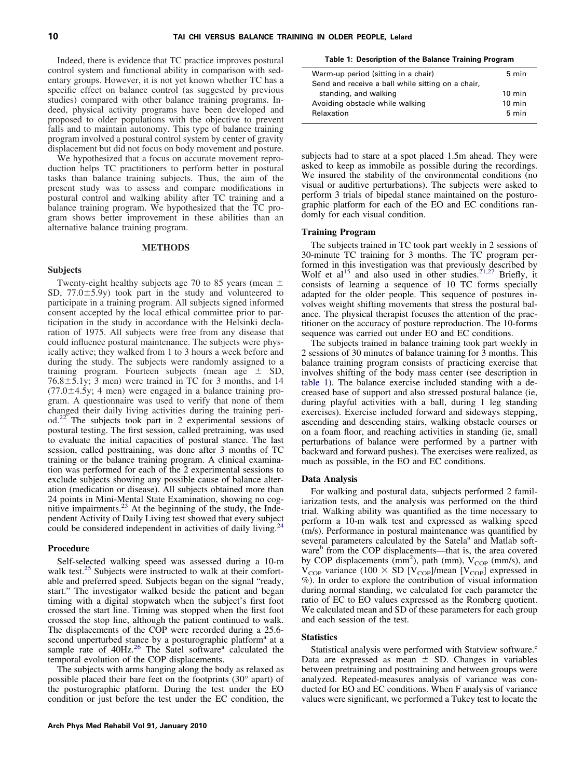Indeed, there is evidence that TC practice improves postural control system and functional ability in comparison with sedentary groups. However, it is not yet known whether TC has a specific effect on balance control (as suggested by previous studies) compared with other balance training programs. Indeed, physical activity programs have been developed and proposed to older populations with the objective to prevent falls and to maintain autonomy. This type of balance training program involved a postural control system by center of gravity displacement but did not focus on body movement and posture.

We hypothesized that a focus on accurate movement reproduction helps TC practitioners to perform better in postural tasks than balance training subjects. Thus, the aim of the present study was to assess and compare modifications in postural control and walking ability after TC training and a balance training program. We hypothesized that the TC program shows better improvement in these abilities than an alternative balance training program.

### **METHODS**

#### **Subjects**

Twenty-eight healthy subjects age 70 to 85 years (mean  $\pm$ SD,  $77.0 \pm 5.9$ y) took part in the study and volunteered to participate in a training program. All subjects signed informed consent accepted by the local ethical committee prior to participation in the study in accordance with the Helsinki declaration of 1975. All subjects were free from any disease that could influence postural maintenance. The subjects were physically active; they walked from 1 to 3 hours a week before and during the study. The subjects were randomly assigned to a training program. Fourteen subjects (mean age  $\pm$  SD,  $76.8 \pm 5.1$ y; 3 men) were trained in TC for 3 months, and 14  $(77.0 \pm 4.5)$ ; 4 men) were engaged in a balance training program. A questionnaire was used to verify that none of them changed their daily living activities during the training period.[22](#page-4-0) The subjects took part in 2 experimental sessions of postural testing. The first session, called pretraining, was used to evaluate the initial capacities of postural stance. The last session, called posttraining, was done after 3 months of TC training or the balance training program. A clinical examination was performed for each of the 2 experimental sessions to exclude subjects showing any possible cause of balance alteration (medication or disease). All subjects obtained more than 24 points in Mini-Mental State Examination, showing no cog-nitive impairments.<sup>[23](#page-4-0)</sup> At the beginning of the study, the Independent Activity of Daily Living test showed that every subject could be considered independent in activities of daily living.<sup>2</sup>

#### **Procedure**

Self-selected walking speed was assessed during a 10-m walk test.<sup>[25](#page-5-0)</sup> Subjects were instructed to walk at their comfortable and preferred speed. Subjects began on the signal "ready, start." The investigator walked beside the patient and began timing with a digital stopwatch when the subject's first foot crossed the start line. Timing was stopped when the first foot crossed the stop line, although the patient continued to walk. The displacements of the COP were recorded during a 25.6 second unperturbed stance by a posturographic platform<sup>a</sup> at a sample rate of 40Hz.<sup>[26](#page-5-0)</sup> The Satel software<sup>a</sup> calculated the temporal evolution of the COP displacements.

The subjects with arms hanging along the body as relaxed as possible placed their bare feet on the footprints (30° apart) of the posturographic platform. During the test under the EO condition or just before the test under the EC condition, the **Table 1: Description of the Balance Training Program**

| Warm-up period (sitting in a chair)               | 5 min            |
|---------------------------------------------------|------------------|
| Send and receive a ball while sitting on a chair, |                  |
| standing, and walking                             | $10 \text{ min}$ |
| Avoiding obstacle while walking                   | $10 \text{ min}$ |
| Relaxation                                        | 5 min            |

subjects had to stare at a spot placed 1.5m ahead. They were asked to keep as immobile as possible during the recordings. We insured the stability of the environmental conditions (no visual or auditive perturbations). The subjects were asked to perform 3 trials of bipedal stance maintained on the posturographic platform for each of the EO and EC conditions randomly for each visual condition.

#### **Training Program**

The subjects trained in TC took part weekly in 2 sessions of 30-minute TC training for 3 months. The TC program performed in this investigation was that previously described by Wolf et al<sup>15</sup> and also used in other studies.<sup>21,27</sup> Briefly, it consists of learning a sequence of 10 TC forms specially adapted for the older people. This sequence of postures involves weight shifting movements that stress the postural balance. The physical therapist focuses the attention of the practitioner on the accuracy of posture reproduction. The 10-forms sequence was carried out under EO and EC conditions.

The subjects trained in balance training took part weekly in 2 sessions of 30 minutes of balance training for 3 months. This balance training program consists of practicing exercise that involves shifting of the body mass center (see description in table 1). The balance exercise included standing with a decreased base of support and also stressed postural balance (ie, during playful activities with a ball, during 1 leg standing exercises). Exercise included forward and sideways stepping, ascending and descending stairs, walking obstacle courses or on a foam floor, and reaching activities in standing (ie, small perturbations of balance were performed by a partner with backward and forward pushes). The exercises were realized, as much as possible, in the EO and EC conditions.

#### **Data Analysis**

For walking and postural data, subjects performed 2 familiarization tests, and the analysis was performed on the third trial. Walking ability was quantified as the time necessary to perform a 10-m walk test and expressed as walking speed (m/s). Performance in postural maintenance was quantified by several parameters calculated by the Satela<sup>a</sup> and Matlab software<sup>b</sup> from the COP displacements—that is, the area covered by COP displacements (mm<sup>2</sup>), path (mm),  $V_{COP}$  (mm/s), and  $V_{\text{COP}}$  variance (100  $\times$  SD [V<sub>COP</sub>]/mean [V<sub>COP</sub>] expressed in %). In order to explore the contribution of visual information during normal standing, we calculated for each parameter the ratio of EC to EO values expressed as the Romberg quotient. We calculated mean and SD of these parameters for each group and each session of the test.

#### **Statistics**

Statistical analysis were performed with Statview software.<sup>c</sup> Data are expressed as mean  $\pm$  SD. Changes in variables between pretraining and posttraining and between groups were analyzed. Repeated-measures analysis of variance was conducted for EO and EC conditions. When F analysis of variance values were significant, we performed a Tukey test to locate the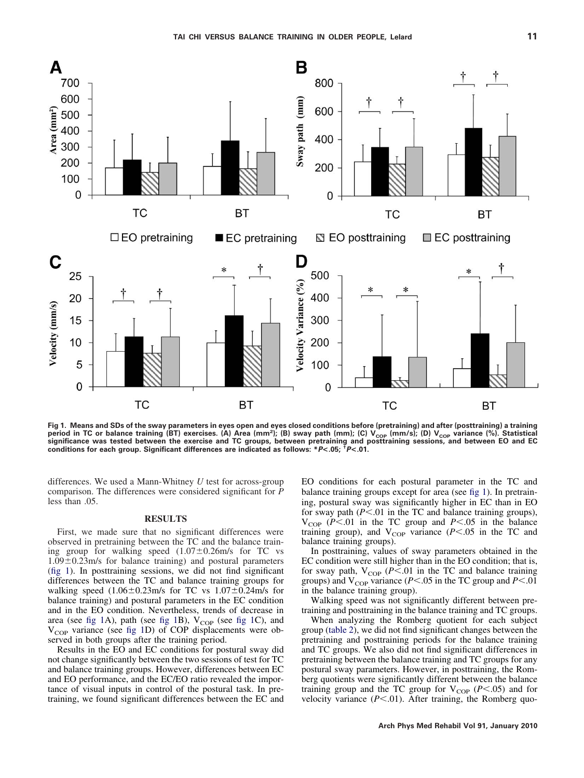

**Fig 1. Means and SDs of the sway parameters in eyes open and eyes closed conditions before (pretraining) and after (posttraining) a training** period in TC or balance training (BT) exercises. (A) Area (mm<sup>2</sup>); (B) sway path (mm); (C) V<sub>COP</sub> (mm/s); (D) V<sub>COP</sub> variance (%). Statistical<br>significance was tested between the exercise and TC groups, between pretraining

differences. We used a Mann-Whitney *U* test for across-group comparison. The differences were considered significant for *P* less than .05.

# **RESULTS**

First, we made sure that no significant differences were observed in pretraining between the TC and the balance training group for walking speed  $(1.07 \pm 0.26 \text{m/s})$  for TC vs  $1.09 \pm 0.23$  m/s for balance training) and postural parameters (fig 1). In posttraining sessions, we did not find significant differences between the TC and balance training groups for walking speed  $(1.06 \pm 0.23 \text{m/s}$  for TC vs  $1.07 \pm 0.24 \text{m/s}$  for balance training) and postural parameters in the EC condition and in the EO condition. Nevertheless, trends of decrease in area (see fig 1A), path (see fig 1B),  $V_{\text{COP}}$  (see fig 1C), and  $V_{\text{COP}}$  variance (see fig 1D) of COP displacements were observed in both groups after the training period.

Results in the EO and EC conditions for postural sway did not change significantly between the two sessions of test for TC and balance training groups. However, differences between EC and EO performance, and the EC/EO ratio revealed the importance of visual inputs in control of the postural task. In pretraining, we found significant differences between the EC and EO conditions for each postural parameter in the TC and balance training groups except for area (see fig 1). In pretraining, postural sway was significantly higher in EC than in EO for sway path ( $P$ <.01 in the TC and balance training groups),  $V_{\text{COP}}$  (*P*<.01 in the TC group and *P*<.05 in the balance training group), and  $V_{\text{COP}}$  variance ( $P < .05$  in the TC and balance training groups).

In posttraining, values of sway parameters obtained in the EC condition were still higher than in the EO condition; that is, for sway path,  $V_{\text{COP}}$  (*P*<.01 in the TC and balance training groups) and  $V_{\text{COP}}$  variance (*P*<.05 in the TC group and *P*<.01 in the balance training group).

Walking speed was not significantly different between pretraining and posttraining in the balance training and TC groups.

When analyzing the Romberg quotient for each subject group [\(table 2\)](#page-3-0), we did not find significant changes between the pretraining and posttraining periods for the balance training and TC groups. We also did not find significant differences in pretraining between the balance training and TC groups for any postural sway parameters. However, in posttraining, the Romberg quotients were significantly different between the balance training group and the TC group for  $V_{COP}$  ( $P < .05$ ) and for velocity variance  $(P<.01)$ . After training, the Romberg quo-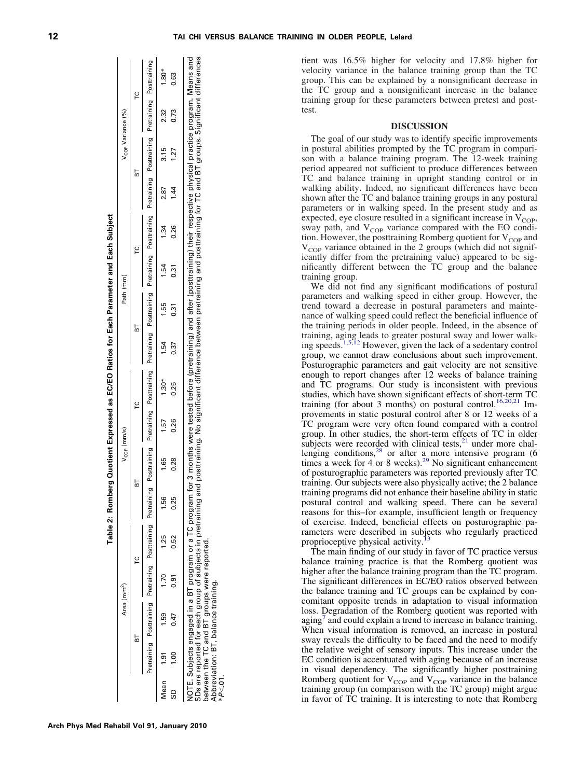tient was 16.5% higher for velocity and 17.8% higher for velocity variance in the balance training group than the TC group. This can be explained by a nonsignificant decrease in the TC group and a nonsignificant increase in the balance training group for these parameters between pretest and posttest.

### **DISCUSSION**

The goal of our study was to identify specific improvements in postural abilities prompted by the TC program in comparison with a balance training program. The 12-week training period appeared not sufficient to produce differences between TC and balance training in upright standing control or in walking ability. Indeed, no significant differences have been shown after the TC and balance training groups in any postural parameters or in walking speed. In the present study and as expected, eye closure resulted in a significant increase in  $V_{\text{COP}}$ , sway path, and  $V_{\text{COP}}$  variance compared with the EO condition. However, the posttraining Romberg quotient for  $V_{COP}$  and  $V_{\text{COP}}$  variance obtained in the 2 groups (which did not significantly differ from the pretraining value) appeared to be significantly different between the TC group and the balance training group.

We did not find any significant modifications of postural parameters and walking speed in either group. However, the trend toward a decrease in postural parameters and maintenance of walking speed could reflect the beneficial influence of the training periods in older people. Indeed, in the absence of training, aging leads to greater postural sway and lower walk-<br>ing speeds.<sup>1,5,12</sup> However, given the lack of a sedentary control group, we cannot draw conclusions about such improvement. Posturographic parameters and gait velocity are not sensitive enough to report changes after 12 weeks of balance training and TC programs. Our study is inconsistent with previous studies, which have shown significant effects of short-term TC training (for about 3 months) on postural control.<sup>[16,20,21](#page-4-0)</sup> Improvements in static postural control after 8 or 12 weeks of a TC program were very often found compared with a control group. In other studies, the short-term effects of TC in older subjects were recorded with clinical tests, $21$  under more chal-lenging conditions,<sup>[28](#page-5-0)</sup> or after a more intensive program  $(6)$ times a week for 4 or 8 weeks).<sup>[29](#page-5-0)</sup> No significant enhancement of posturographic parameters was reported previously after TC training. Our subjects were also physically active; the 2 balance training programs did not enhance their baseline ability in static postural control and walking speed. There can be several reasons for this–for example, insufficient length or frequency of exercise. Indeed, beneficial effects on posturographic parameters were described in subjects who regularly practiced proprioceptive physical activity.

The main finding of our study in favor of TC practice versus balance training practice is that the Romberg quotient was higher after the balance training program than the TC program. The significant differences in EC/EO ratios observed between the balance training and TC groups can be explained by concomitant opposite trends in adaptation to visual information loss. Degradation of the Romberg quotient was reported with  $aging<sup>7</sup>$  $aging<sup>7</sup>$  $aging<sup>7</sup>$  and could explain a trend to increase in balance training. When visual information is removed, an increase in postural sway reveals the difficulty to be faced and the need to modify the relative weight of sensory inputs. This increase under the EC condition is accentuated with aging because of an increase in visual dependency. The significantly higher posttraining Romberg quotient for  $V_{\text{COP}}$  and  $V_{\text{COP}}$  variance in the balance training group (in comparison with the TC group) might argue in favor of TC training. It is interesting to note that Romberg

| $\frac{1}{2}$<br>֖ׅ֧֧֚֚֚֚֚֚֚֚֚֚֚֚֚֚֚֚֚֚֚֚֚֚֚֬֡֡֡֡֬֓֡֡֡֬֝֬֓<br>I |
|-----------------------------------------------------------------|
| I                                                               |
|                                                                 |
|                                                                 |
|                                                                 |
|                                                                 |

V<sub>COP</sub> (mm/s) Variance (%) Path (mm) Path (mm) Path (mm) Path (mm)

Path (mm)

<span id="page-3-0"></span>BT TC BT TC BT TC BT TC Pretraining Posttraining Pretraining Posttraining Pretraining Posttraining Pretraining Posttraining Pretraining Posttraining Pretraining Posttraining Pretraining Posttraining Pretraining Posttraining

 $\overline{r}$ 

눕

 $\epsilon$ 

눕

V<sub>cop</sub> (mm/s)

 $\overline{B}$ 

| $1.80*$       | <b>0.63</b>       |                                                                                                                                                                                                                                                                  |
|---------------|-------------------|------------------------------------------------------------------------------------------------------------------------------------------------------------------------------------------------------------------------------------------------------------------|
| 2.32          | 0.73              |                                                                                                                                                                                                                                                                  |
| 3.15          | <b>27</b>         |                                                                                                                                                                                                                                                                  |
|               |                   |                                                                                                                                                                                                                                                                  |
| 2.87          |                   |                                                                                                                                                                                                                                                                  |
| 1.34          | 0.26              |                                                                                                                                                                                                                                                                  |
| 1.54          | 0.31              |                                                                                                                                                                                                                                                                  |
| 1.55          | ว.<br>วั          |                                                                                                                                                                                                                                                                  |
| 1.54          | 0.37              |                                                                                                                                                                                                                                                                  |
| $1.30*$       | 0.25              |                                                                                                                                                                                                                                                                  |
| rs.           | 0.26              |                                                                                                                                                                                                                                                                  |
| 89<br>-       | 0.28              | m for 3 months were tested before (pretraining) and after (posttraining) their respective physical practice program. Means and<br>and posttraining. No significant difference between pretraining and posttraining for TC and BT groups. Significant differences |
| cc            | 0.25              |                                                                                                                                                                                                                                                                  |
| 1.25          | 0.52              |                                                                                                                                                                                                                                                                  |
| 1.70          | $\overline{0.91}$ |                                                                                                                                                                                                                                                                  |
| 1.59          | 0.47              | VOTE. Subjects engaged in a BT program or a TC program<br>SDs are reported for each group of subjects in pretraining<br>between the TC and BT groups were reported.<br>Abbreviation: BT, balance training.                                                       |
|               | $\frac{8}{1}$     |                                                                                                                                                                                                                                                                  |
| $Mean$ $1.91$ | ទី                | P<.01.                                                                                                                                                                                                                                                           |

Posttraining

Pretraining

Posttraining

Pretraining

Posttraining

Pretraining

Posttraining

Pretraining

Posttraining

Pretraining

Posttraining

Pretraining

Posttraining

Pretraining

Posttraining

Pretraining

 $\epsilon$ 

눕

 $\overline{C}$ 

V<sub>cOP</sub> Variance (%)

Area (mm<sup>2</sup>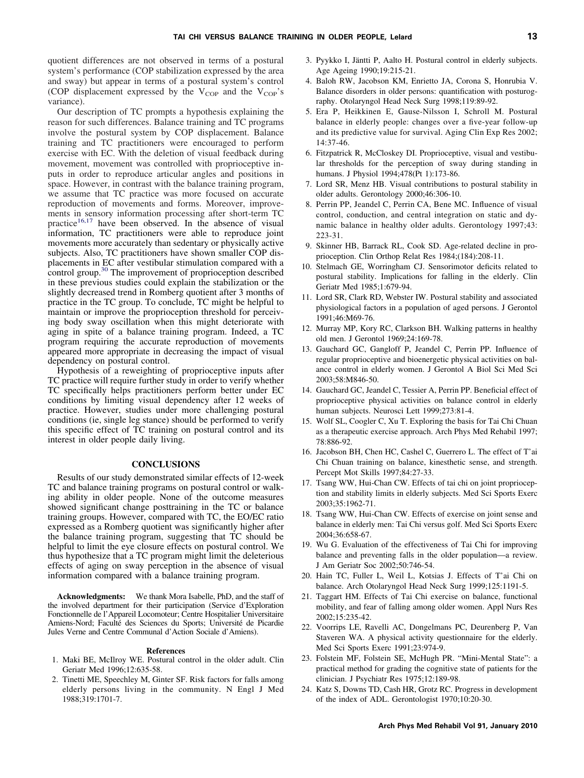<span id="page-4-0"></span>quotient differences are not observed in terms of a postural system's performance (COP stabilization expressed by the area and sway) but appear in terms of a postural system's control (COP displacement expressed by the  $V_{COP}$  and the  $V_{COP}$ 's variance).

Our description of TC prompts a hypothesis explaining the reason for such differences. Balance training and TC programs involve the postural system by COP displacement. Balance training and TC practitioners were encouraged to perform exercise with EC. With the deletion of visual feedback during movement, movement was controlled with proprioceptive inputs in order to reproduce articular angles and positions in space. However, in contrast with the balance training program, we assume that TC practice was more focused on accurate reproduction of movements and forms. Moreover, improvements in sensory information processing after short-term TC practice<sup>16,17</sup> have been observed. In the absence of visual information, TC practitioners were able to reproduce joint movements more accurately than sedentary or physically active subjects. Also, TC practitioners have shown smaller COP displacements in EC after vestibular stimulation compared with a control group.<sup>[30](#page-5-0)</sup> The improvement of proprioception described in these previous studies could explain the stabilization or the slightly decreased trend in Romberg quotient after 3 months of practice in the TC group. To conclude, TC might be helpful to maintain or improve the proprioception threshold for perceiving body sway oscillation when this might deteriorate with aging in spite of a balance training program. Indeed, a TC program requiring the accurate reproduction of movements appeared more appropriate in decreasing the impact of visual dependency on postural control.

Hypothesis of a reweighting of proprioceptive inputs after TC practice will require further study in order to verify whether TC specifically helps practitioners perform better under EC conditions by limiting visual dependency after 12 weeks of practice. However, studies under more challenging postural conditions (ie, single leg stance) should be performed to verify this specific effect of TC training on postural control and its interest in older people daily living.

## **CONCLUSIONS**

Results of our study demonstrated similar effects of 12-week TC and balance training programs on postural control or walking ability in older people. None of the outcome measures showed significant change posttraining in the TC or balance training groups. However, compared with TC, the EO/EC ratio expressed as a Romberg quotient was significantly higher after the balance training program, suggesting that TC should be helpful to limit the eye closure effects on postural control. We thus hypothesize that a TC program might limit the deleterious effects of aging on sway perception in the absence of visual information compared with a balance training program.

**Acknowledgments:** We thank Mora Isabelle, PhD, and the staff of the involved department for their participation (Service d'Exploration Fonctionnelle de l'Appareil Locomoteur; Centre Hospitalier Universitaire Amiens-Nord; Faculté des Sciences du Sports; Université de Picardie Jules Verne and Centre Communal d'Action Sociale d'Amiens).

#### **References**

- 1. Maki BE, McIlroy WE. Postural control in the older adult. Clin Geriatr Med 1996;12:635-58.
- 2. Tinetti ME, Speechley M, Ginter SF. Risk factors for falls among elderly persons living in the community. N Engl J Med 1988;319:1701-7.
- 3. Pyykko I, Jäntti P, Aalto H. Postural control in elderly subjects. Age Ageing 1990;19:215-21.
- 4. Baloh RW, Jacobson KM, Enrietto JA, Corona S, Honrubia V. Balance disorders in older persons: quantification with posturography. Otolaryngol Head Neck Surg 1998;119:89-92.
- 5. Era P, Heikkinen E, Gause-Nilsson I, Schroll M. Postural balance in elderly people: changes over a five-year follow-up and its predictive value for survival. Aging Clin Exp Res 2002; 14:37-46.
- 6. Fitzpatrick R, McCloskey DI. Proprioceptive, visual and vestibular thresholds for the perception of sway during standing in humans. J Physiol 1994;478(Pt 1):173-86.
- 7. Lord SR, Menz HB. Visual contributions to postural stability in older adults. Gerontology 2000;46:306-10.
- 8. Perrin PP, Jeandel C, Perrin CA, Bene MC. Influence of visual control, conduction, and central integration on static and dynamic balance in healthy older adults. Gerontology 1997;43: 223-31.
- 9. Skinner HB, Barrack RL, Cook SD. Age-related decline in proprioception. Clin Orthop Relat Res 1984;(184):208-11.
- 10. Stelmach GE, Worringham CJ. Sensorimotor deficits related to postural stability. Implications for falling in the elderly. Clin Geriatr Med 1985;1:679-94.
- 11. Lord SR, Clark RD, Webster IW. Postural stability and associated physiological factors in a population of aged persons. J Gerontol 1991;46:M69-76.
- 12. Murray MP, Kory RC, Clarkson BH. Walking patterns in healthy old men. J Gerontol 1969;24:169-78.
- 13. Gauchard GC, Gangloff P, Jeandel C, Perrin PP. Influence of regular proprioceptive and bioenergetic physical activities on balance control in elderly women. J Gerontol A Biol Sci Med Sci 2003;58:M846-50.
- 14. Gauchard GC, Jeandel C, Tessier A, Perrin PP. Beneficial effect of proprioceptive physical activities on balance control in elderly human subjects. Neurosci Lett 1999;273:81-4.
- 15. Wolf SL, Coogler C, Xu T. Exploring the basis for Tai Chi Chuan as a therapeutic exercise approach. Arch Phys Med Rehabil 1997; 78:886-92.
- 16. Jacobson BH, Chen HC, Cashel C, Guerrero L. The effect of T'ai Chi Chuan training on balance, kinesthetic sense, and strength. Percept Mot Skills 1997;84:27-33.
- 17. Tsang WW, Hui-Chan CW. Effects of tai chi on joint proprioception and stability limits in elderly subjects. Med Sci Sports Exerc 2003;35:1962-71.
- 18. Tsang WW, Hui-Chan CW. Effects of exercise on joint sense and balance in elderly men: Tai Chi versus golf. Med Sci Sports Exerc 2004;36:658-67.
- 19. Wu G. Evaluation of the effectiveness of Tai Chi for improving balance and preventing falls in the older population—a review. J Am Geriatr Soc 2002;50:746-54.
- 20. Hain TC, Fuller L, Weil L, Kotsias J. Effects of T'ai Chi on balance. Arch Otolaryngol Head Neck Surg 1999;125:1191-5.
- 21. Taggart HM. Effects of Tai Chi exercise on balance, functional mobility, and fear of falling among older women. Appl Nurs Res 2002;15:235-42.
- 22. Voorrips LE, Ravelli AC, Dongelmans PC, Deurenberg P, Van Staveren WA. A physical activity questionnaire for the elderly. Med Sci Sports Exerc 1991;23:974-9.
- 23. Folstein MF, Folstein SE, McHugh PR. "Mini-Mental State": a practical method for grading the cognitive state of patients for the clinician. J Psychiatr Res 1975;12:189-98.
- 24. Katz S, Downs TD, Cash HR, Grotz RC. Progress in development of the index of ADL. Gerontologist 1970;10:20-30.